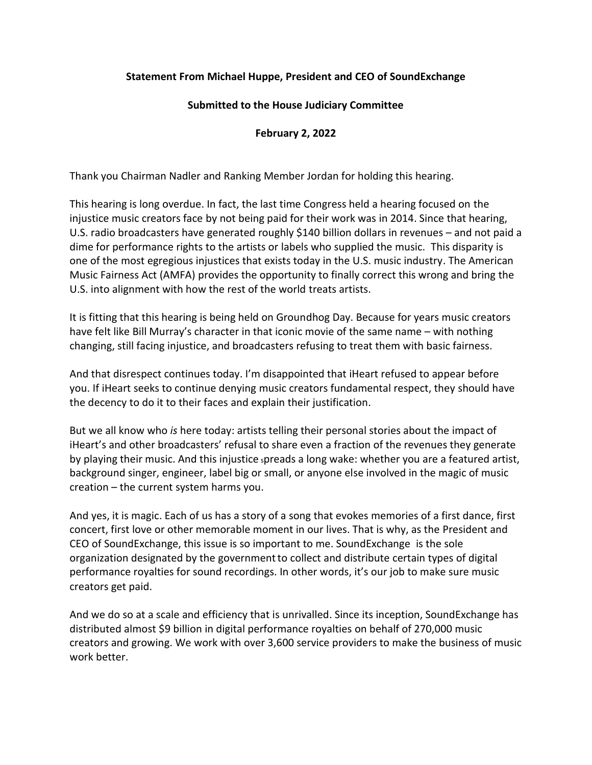## **Statement From Michael Huppe, President and CEO of SoundExchange**

## **Submitted to the House Judiciary Committee**

## **February 2, 2022**

Thank you Chairman Nadler and Ranking Member Jordan for holding this hearing.

This hearing is long overdue. In fact, the last time Congress held a hearing focused on the injustice music creators face by not being paid for their work was in 2014. Since that hearing, U.S. radio broadcasters have generated roughly \$140 billion dollars in revenues – and not paid a dime for performance rights to the artists or labels who supplied the music. This disparity is one of the most egregious injustices that exists today in the U.S. music industry. The American Music Fairness Act (AMFA) provides the opportunity to finally correct this wrong and bring the U.S. into alignment with how the rest of the world treats artists.

It is fitting that this hearing is being held on Groundhog Day. Because for years music creators have felt like Bill Murray's character in that iconic movie of the same name – with nothing changing, still facing injustice, and broadcasters refusing to treat them with basic fairness.

And that disrespect continues today. I'm disappointed that iHeart refused to appear before you. If iHeart seeks to continue denying music creators fundamental respect, they should have the decency to do it to their faces and explain their justification.

But we all know who *is* here today: artists telling their personal stories about the impact of iHeart's and other broadcasters' refusal to share even a fraction of the revenues they generate by playing their music. And this injustice <sup>s</sup>preads a long wake: whether you are a featured artist, background singer, engineer, label big or small, or anyone else involved in the magic of music creation – the current system harms you.

And yes, it is magic. Each of us has a story of a song that evokes memories of a first dance, first concert, first love or other memorable moment in our lives. That is why, as the President and CEO of SoundExchange, this issue is so important to me. SoundExchange is the sole organization designated by the governmentto collect and distribute certain types of digital performance royalties for sound recordings. In other words, it's our job to make sure music creators get paid.

And we do so at a scale and efficiency that is unrivalled. Since its inception, SoundExchange has distributed almost \$9 billion in digital performance royalties on behalf of 270,000 music creators and growing. We work with over 3,600 service providers to make the business of music work better.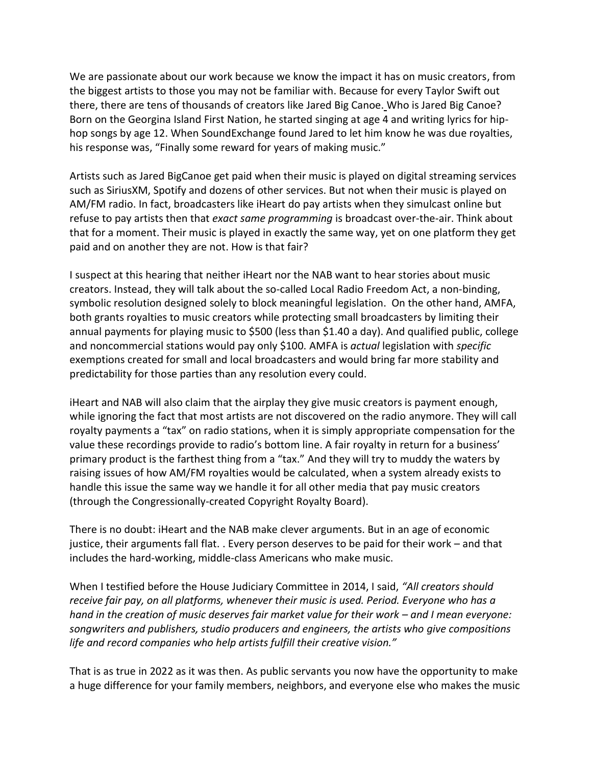We are passionate about our work because we know the impact it has on music creators, from the biggest artists to those you may not be familiar with. Because for every Taylor Swift out there, there are tens of thousands of creators like Jared Big Canoe. Who is Jared Big Canoe? Born on the Georgina Island First Nation, he started singing at age 4 and writing lyrics for hiphop songs by age 12. When SoundExchange found Jared to let him know he was due royalties, his response was, "Finally some reward for years of making music."

Artists such as Jared BigCanoe get paid when their music is played on digital streaming services such as SiriusXM, Spotify and dozens of other services. But not when their music is played on AM/FM radio. In fact, broadcasters like iHeart do pay artists when they simulcast online but refuse to pay artists then that *exact same programming* is broadcast over-the-air. Think about that for a moment. Their music is played in exactly the same way, yet on one platform they get paid and on another they are not. How is that fair?

I suspect at this hearing that neither iHeart nor the NAB want to hear stories about music creators. Instead, they will talk about the so-called Local Radio Freedom Act, a non-binding, symbolic resolution designed solely to block meaningful legislation. On the other hand, AMFA, both grants royalties to music creators while protecting small broadcasters by limiting their annual payments for playing music to \$500 (less than \$1.40 a day). And qualified public, college and noncommercial stations would pay only \$100. AMFA is *actual* legislation with *specific* exemptions created for small and local broadcasters and would bring far more stability and predictability for those parties than any resolution every could.

iHeart and NAB will also claim that the airplay they give music creators is payment enough, while ignoring the fact that most artists are not discovered on the radio anymore. They will call royalty payments a "tax" on radio stations, when it is simply appropriate compensation for the value these recordings provide to radio's bottom line. A fair royalty in return for a business' primary product is the farthest thing from a "tax." And they will try to muddy the waters by raising issues of how AM/FM royalties would be calculated, when a system already exists to handle this issue the same way we handle it for all other media that pay music creators (through the Congressionally-created Copyright Royalty Board).

There is no doubt: iHeart and the NAB make clever arguments. But in an age of economic justice, their arguments fall flat. . Every person deserves to be paid for their work – and that includes the hard-working, middle-class Americans who make music.

When I testified before the House Judiciary Committee in 2014, I said, *"All creators should receive fair pay, on all platforms, whenever their music is used. Period. Everyone who has a hand in the creation of music deserves fair market value for their work – and I mean everyone: songwriters and publishers, studio producers and engineers, the artists who give compositions life and record companies who help artists fulfill their creative vision."*

That is as true in 2022 as it was then. As public servants you now have the opportunity to make a huge difference for your family members, neighbors, and everyone else who makes the music